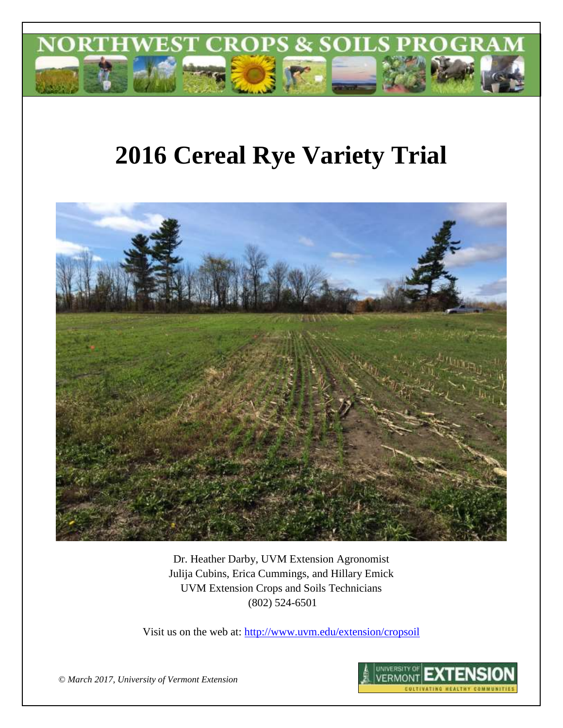

# **2016 Cereal Rye Variety Trial**



Dr. Heather Darby, UVM Extension Agronomist Julija Cubins, Erica Cummings, and Hillary Emick UVM Extension Crops and Soils Technicians (802) 524-6501

Visit us on the web at:<http://www.uvm.edu/extension/cropsoil>



*© March 2017, University of Vermont Extension*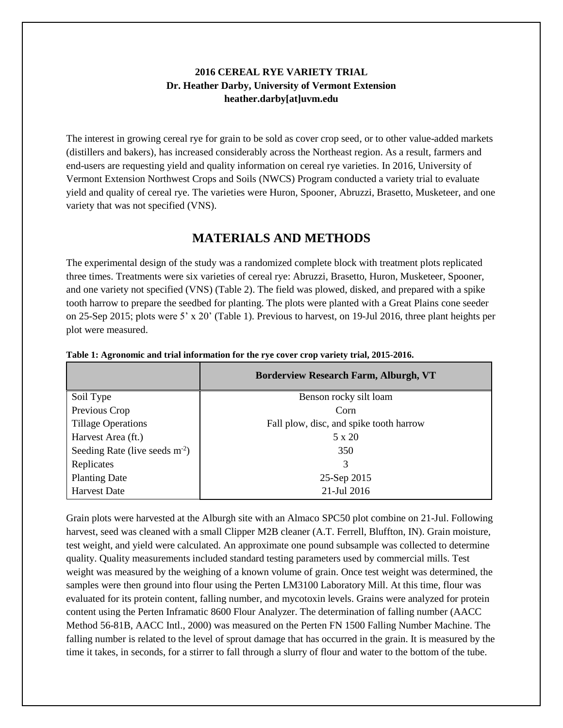## **2016 CEREAL RYE VARIETY TRIAL Dr. Heather Darby, University of Vermont Extension heather.darby[at]uvm.edu**

The interest in growing cereal rye for grain to be sold as cover crop seed, or to other value-added markets (distillers and bakers), has increased considerably across the Northeast region. As a result, farmers and end-users are requesting yield and quality information on cereal rye varieties. In 2016, University of Vermont Extension Northwest Crops and Soils (NWCS) Program conducted a variety trial to evaluate yield and quality of cereal rye. The varieties were Huron, Spooner, Abruzzi, Brasetto, Musketeer, and one variety that was not specified (VNS).

## **MATERIALS AND METHODS**

The experimental design of the study was a randomized complete block with treatment plots replicated three times. Treatments were six varieties of cereal rye: Abruzzi, Brasetto, Huron, Musketeer, Spooner, and one variety not specified (VNS) (Table 2). The field was plowed, disked, and prepared with a spike tooth harrow to prepare the seedbed for planting. The plots were planted with a Great Plains cone seeder on 25-Sep 2015; plots were 5' x 20' (Table 1). Previous to harvest, on 19-Jul 2016, three plant heights per plot were measured.

|                                 | <b>Borderview Research Farm, Alburgh, VT</b> |  |  |  |
|---------------------------------|----------------------------------------------|--|--|--|
| Soil Type                       | Benson rocky silt loam                       |  |  |  |
| Previous Crop                   | Corn                                         |  |  |  |
| <b>Tillage Operations</b>       | Fall plow, disc, and spike tooth harrow      |  |  |  |
| Harvest Area (ft.)              | $5 \times 20$                                |  |  |  |
| Seeding Rate (live seeds $m2$ ) | 350                                          |  |  |  |
| Replicates                      |                                              |  |  |  |
| <b>Planting Date</b>            | 25-Sep 2015                                  |  |  |  |
| <b>Harvest Date</b>             | 21-Jul 2016                                  |  |  |  |

**Table 1: Agronomic and trial information for the rye cover crop variety trial, 2015-2016.**

Grain plots were harvested at the Alburgh site with an Almaco SPC50 plot combine on 21-Jul. Following harvest, seed was cleaned with a small Clipper M2B cleaner (A.T. Ferrell, Bluffton, IN). Grain moisture, test weight, and yield were calculated. An approximate one pound subsample was collected to determine quality. Quality measurements included standard testing parameters used by commercial mills. Test weight was measured by the weighing of a known volume of grain. Once test weight was determined, the samples were then ground into flour using the Perten LM3100 Laboratory Mill. At this time, flour was evaluated for its protein content, falling number, and mycotoxin levels. Grains were analyzed for protein content using the Perten Inframatic 8600 Flour Analyzer. The determination of falling number (AACC Method 56-81B, AACC Intl., 2000) was measured on the Perten FN 1500 Falling Number Machine. The falling number is related to the level of sprout damage that has occurred in the grain. It is measured by the time it takes, in seconds, for a stirrer to fall through a slurry of flour and water to the bottom of the tube.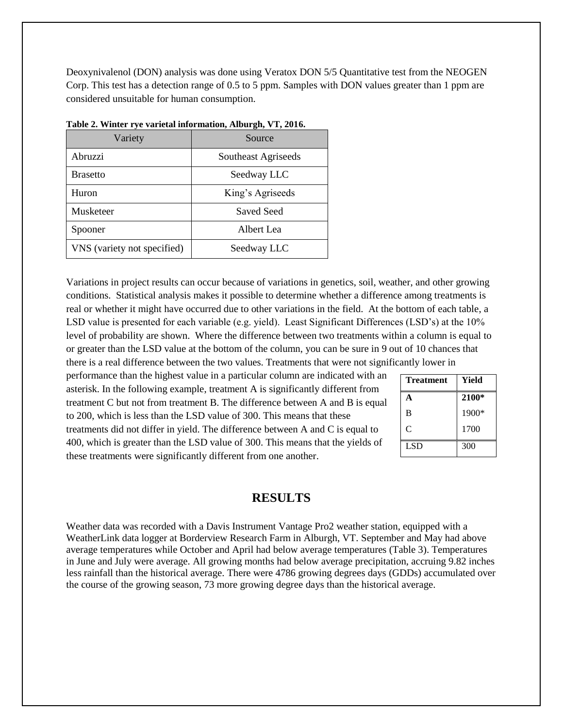Deoxynivalenol (DON) analysis was done using Veratox DON 5/5 Quantitative test from the NEOGEN Corp. This test has a detection range of 0.5 to 5 ppm. Samples with DON values greater than 1 ppm are considered unsuitable for human consumption.

| Variety                     | Source              |  |
|-----------------------------|---------------------|--|
| Abruzzi                     | Southeast Agriseeds |  |
| <b>Brasetto</b>             | Seedway LLC         |  |
| Huron                       | King's Agriseeds    |  |
| Musketeer                   | Saved Seed          |  |
| Spooner                     | Albert Lea          |  |
| VNS (variety not specified) | Seedway LLC         |  |

|  | Table 2. Winter rye varietal information, Alburgh, VT, 2016. |  |
|--|--------------------------------------------------------------|--|
|  |                                                              |  |

Variations in project results can occur because of variations in genetics, soil, weather, and other growing conditions. Statistical analysis makes it possible to determine whether a difference among treatments is real or whether it might have occurred due to other variations in the field. At the bottom of each table, a LSD value is presented for each variable (e.g. yield). Least Significant Differences (LSD's) at the 10% level of probability are shown. Where the difference between two treatments within a column is equal to or greater than the LSD value at the bottom of the column, you can be sure in 9 out of 10 chances that there is a real difference between the two values. Treatments that were not significantly lower in

performance than the highest value in a particular column are indicated with an asterisk. In the following example, treatment A is significantly different from treatment C but not from treatment B. The difference between A and B is equal to 200, which is less than the LSD value of 300. This means that these treatments did not differ in yield. The difference between A and C is equal to 400, which is greater than the LSD value of 300. This means that the yields of these treatments were significantly different from one another.

| <b>Treatment</b> | Yield |
|------------------|-------|
| A                | 2100* |
| B                | 1900* |
| C                | 1700  |
| LSD              | 300   |

### **RESULTS**

Weather data was recorded with a Davis Instrument Vantage Pro2 weather station, equipped with a WeatherLink data logger at Borderview Research Farm in Alburgh, VT. September and May had above average temperatures while October and April had below average temperatures (Table 3). Temperatures in June and July were average. All growing months had below average precipitation, accruing 9.82 inches less rainfall than the historical average. There were 4786 growing degrees days (GDDs) accumulated over the course of the growing season, 73 more growing degree days than the historical average.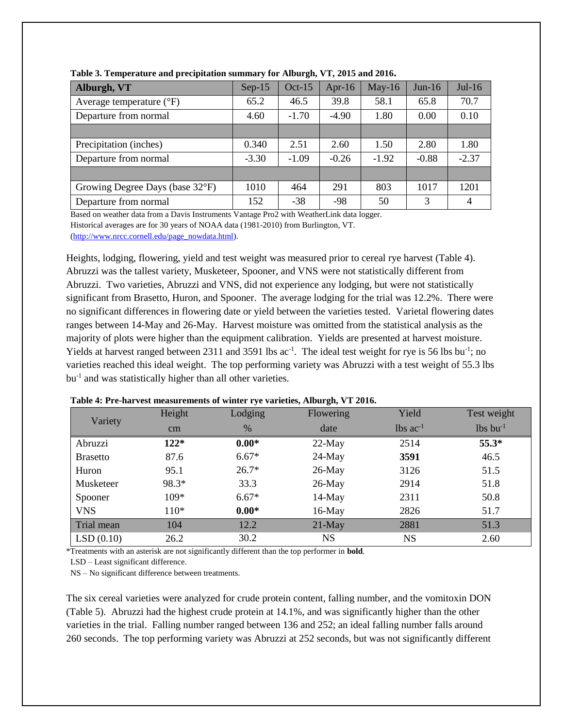| Alburgh, VT                       | $Sep-15$ | $Oct-15$ | Apr-16  | $May-16$ | $Jun-16$ | $Jul-16$ |
|-----------------------------------|----------|----------|---------|----------|----------|----------|
| Average temperature $(^{\circ}F)$ | 65.2     | 46.5     | 39.8    | 58.1     | 65.8     | 70.7     |
| Departure from normal             | 4.60     | $-1.70$  | $-4.90$ | 1.80     | 0.00     | 0.10     |
|                                   |          |          |         |          |          |          |
| Precipitation (inches)            | 0.340    | 2.51     | 2.60    | 1.50     | 2.80     | 1.80     |
| Departure from normal             | $-3.30$  | $-1.09$  | $-0.26$ | $-1.92$  | $-0.88$  | $-2.37$  |
|                                   |          |          |         |          |          |          |
| Growing Degree Days (base 32°F)   | 1010     | 464      | 291     | 803      | 1017     | 1201     |
| Departure from normal             | 152      | $-38$    | -98     | 50       | 3        | 4        |

**Table 3. Temperature and precipitation summary for Alburgh, VT, 2015 and 2016.**

Based on weather data from a Davis Instruments Vantage Pro2 with WeatherLink data logger. Historical averages are for 30 years of NOAA data (1981-2010) from Burlington, VT.

[\(http://www.nrcc.cornell.edu/page\\_nowdata.html\)](http://www.nrcc.cornell.edu/page_nowdata.html).

Heights, lodging, flowering, yield and test weight was measured prior to cereal rye harvest (Table 4). Abruzzi was the tallest variety, Musketeer, Spooner, and VNS were not statistically different from Abruzzi. Two varieties, Abruzzi and VNS, did not experience any lodging, but were not statistically significant from Brasetto, Huron, and Spooner. The average lodging for the trial was 12.2%. There were no significant differences in flowering date or yield between the varieties tested. Varietal flowering dates ranges between 14-May and 26-May. Harvest moisture was omitted from the statistical analysis as the majority of plots were higher than the equipment calibration. Yields are presented at harvest moisture. Yields at harvest ranged between 2311 and 3591 lbs ac<sup>-1</sup>. The ideal test weight for rye is 56 lbs bu<sup>-1</sup>; no varieties reached this ideal weight. The top performing variety was Abruzzi with a test weight of 55.3 lbs bu<sup>-1</sup> and was statistically higher than all other varieties.

| Variety         | Height | Lodging | Flowering | Yield                  | Test weight            |
|-----------------|--------|---------|-----------|------------------------|------------------------|
|                 | cm     | %       | date      | $lbs$ ac <sup>-1</sup> | $lbs$ bu <sup>-1</sup> |
| Abruzzi         | $122*$ | $0.00*$ | $22-May$  | 2514                   | $55.3*$                |
| <b>Brasetto</b> | 87.6   | $6.67*$ | $24$ -May | 3591                   | 46.5                   |
| Huron           | 95.1   | $26.7*$ | $26$ -May | 3126                   | 51.5                   |
| Musketeer       | 98.3*  | 33.3    | $26$ -May | 2914                   | 51.8                   |
| Spooner         | $109*$ | $6.67*$ | $14$ -May | 2311                   | 50.8                   |
| <b>VNS</b>      | $110*$ | $0.00*$ | $16$ -May | 2826                   | 51.7                   |
| Trial mean      | 104    | 12.2    | $21$ -May | 2881                   | 51.3                   |
| LSD(0.10)       | 26.2   | 30.2    | NS.       | NS                     | 2.60                   |

#### **Table 4: Pre-harvest measurements of winter rye varieties, Alburgh, VT 2016.**

\*Treatments with an asterisk are not significantly different than the top performer in **bold**.

LSD – Least significant difference.

NS – No significant difference between treatments.

The six cereal varieties were analyzed for crude protein content, falling number, and the vomitoxin DON (Table 5). Abruzzi had the highest crude protein at 14.1%, and was significantly higher than the other varieties in the trial. Falling number ranged between 136 and 252; an ideal falling number falls around 260 seconds. The top performing variety was Abruzzi at 252 seconds, but was not significantly different